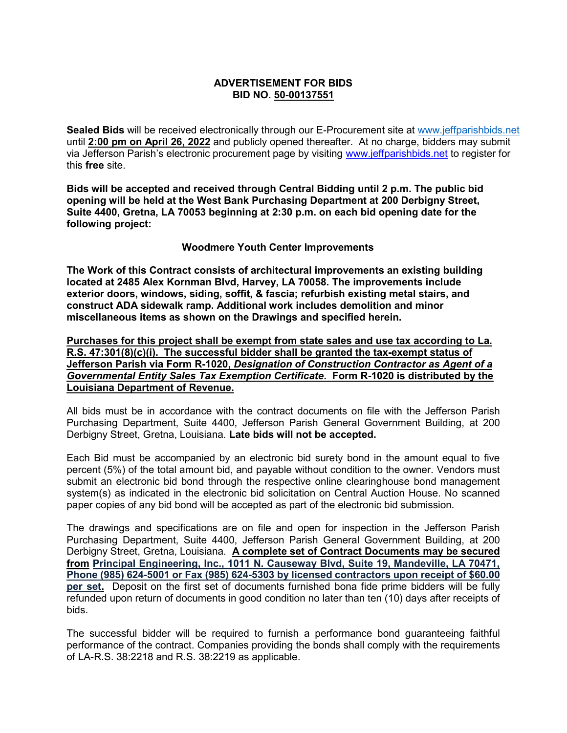## **ADVERTISEMENT FOR BIDS BID NO. 50-00137551**

**Sealed Bids** will be received electronically through our E-Procurement site at [www.jeffparishbids.net](http://www.jeffparishbids.net/) until **2:00 pm on April 26, 2022** and publicly opened thereafter. At no charge, bidders may submit via Jefferson Parish's electronic procurement page by visiting [www.jeffparishbids.net](http://www.jeffparishbids.net/) to register for this **free** site.

**Bids will be accepted and received through Central Bidding until 2 p.m. The public bid opening will be held at the West Bank Purchasing Department at 200 Derbigny Street, Suite 4400, Gretna, LA 70053 beginning at 2:30 p.m. on each bid opening date for the following project:**

## **Woodmere Youth Center Improvements**

**The Work of this Contract consists of architectural improvements an existing building located at 2485 Alex Kornman Blvd, Harvey, LA 70058. The improvements include exterior doors, windows, siding, soffit, & fascia; refurbish existing metal stairs, and construct ADA sidewalk ramp. Additional work includes demolition and minor miscellaneous items as shown on the Drawings and specified herein.**

**Purchases for this project shall be exempt from state sales and use tax according to La. R.S. 47:301(8)(c)(i). The successful bidder shall be granted the tax-exempt status of Jefferson Parish via Form R-1020,** *Designation of Construction Contractor as Agent of a Governmental Entity Sales Tax Exemption Certificate***. Form R-1020 is distributed by the Louisiana Department of Revenue.**

All bids must be in accordance with the contract documents on file with the Jefferson Parish Purchasing Department, Suite 4400, Jefferson Parish General Government Building, at 200 Derbigny Street, Gretna, Louisiana. **Late bids will not be accepted.**

Each Bid must be accompanied by an electronic bid surety bond in the amount equal to five percent (5%) of the total amount bid, and payable without condition to the owner. Vendors must submit an electronic bid bond through the respective online clearinghouse bond management system(s) as indicated in the electronic bid solicitation on Central Auction House. No scanned paper copies of any bid bond will be accepted as part of the electronic bid submission.

The drawings and specifications are on file and open for inspection in the Jefferson Parish Purchasing Department, Suite 4400, Jefferson Parish General Government Building, at 200 Derbigny Street, Gretna, Louisiana. **A complete set of Contract Documents may be secured from Principal Engineering, Inc., 1011 N. Causeway Blvd, Suite 19, Mandeville, LA 70471, Phone (985) 624-5001 or Fax (985) 624-5303 by licensed contractors upon receipt of \$60.00 per set.** Deposit on the first set of documents furnished bona fide prime bidders will be fully refunded upon return of documents in good condition no later than ten (10) days after receipts of bids.

The successful bidder will be required to furnish a performance bond guaranteeing faithful performance of the contract. Companies providing the bonds shall comply with the requirements of LA-R.S. 38:2218 and R.S. 38:2219 as applicable.